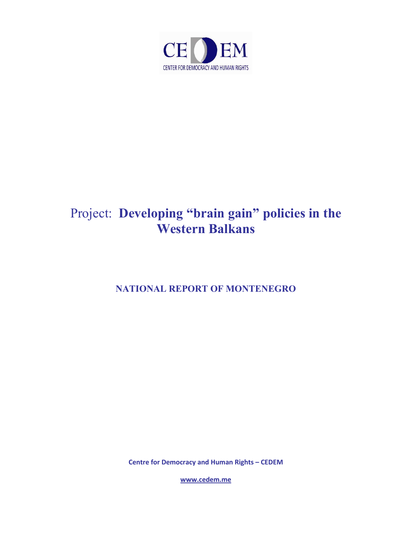

# Project: **Developing "brain gain" policies in the Western Balkans**

**NATIONAL REPORT OF MONTENEGRO** 

**Centre for Dem[ocracy and Human](http://www.cedem.me/) Rights – CEDEM**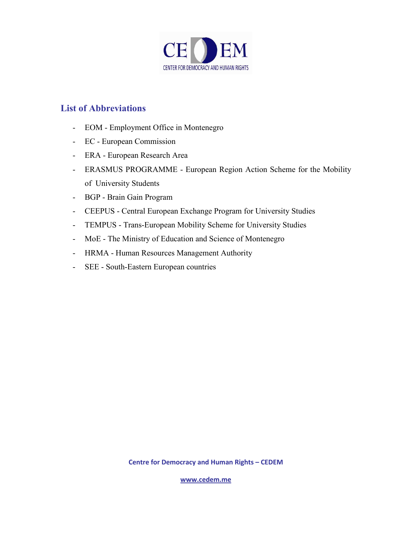

### **List of Abbreviations**

- EOM Employment Office in Montenegro
- EC European Commission
- ERA European Research Area
- ERASMUS PROGRAMME European Region Action Scheme for the Mobility of University Students
- BGP Brain Gain Program
- CEEPUS Central European Exchange Program for University Studies
- TEMPUS Trans-European Mobility Scheme for University Studies
- MoE The Ministry of Education and Science of Montenegro
- HRMA Human Resources Management Authority
- SEE South-Eastern European countries

**Centre for Dem[ocracy and Human](http://www.cedem.me/) Rights – CEDEM**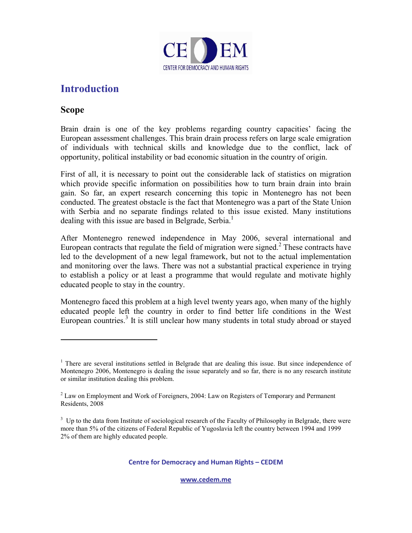

## **Introduction**

### **Scope**

l

Brain drain is one of the key problems regarding country capacities' facing the European assessment challenges. This brain drain process refers on large scale emigration of individuals with technical skills and knowledge due to the conflict, lack of opportunity, political instability or bad economic situation in the country of origin.

First of all, it is necessary to point out the considerable lack of statistics on migration which provide specific information on possibilities how to turn brain drain into brain gain. So far, an expert research concerning this topic in Montenegro has not been conducted. The greatest obstacle is the fact that Montenegro was a part of the State Union with Serbia and no separate findings related to this issue existed. Many institutions dealing with this issue are based in Belgrade, Serbia.<sup>1</sup>

After Montenegro renewed independence in May 2006, several international and European contracts that regulate the field of migration were signed. $2$  These contracts have led to the development of a new legal framework, but not to the actual implementation and monitoring over the laws. There was not a substantial practical experience in trying to establish a policy or at least a programme that would regulate and motivate highly educated people to stay in the country.

Montenegro faced this problem at a high level twenty years ago, when many of the highly educated people left the country in order to find better life conditions in the West European countries.<sup>3</sup> It is still unclear how many students in total study abroad or stayed

**Centre for Dem[ocracy and Human](http://www.cedem.me/) Rights – CEDEM** 

<sup>&</sup>lt;sup>1</sup> There are several institutions settled in Belgrade that are dealing this issue. But since independence of Montenegro 2006, Montenegro is dealing the issue separately and so far, there is no any research institute or similar institution dealing this problem.

 $2$  Law on Employment and Work of Foreigners, 2004: Law on Registers of Temporary and Permanent Residents, 2008

 $3$  Up to the data from Institute of sociological research of the Faculty of Philosophy in Belgrade, there were more than 5% of the citizens of Federal Republic of Yugoslavia left the country between 1994 and 1999 2% of them are highly educated people.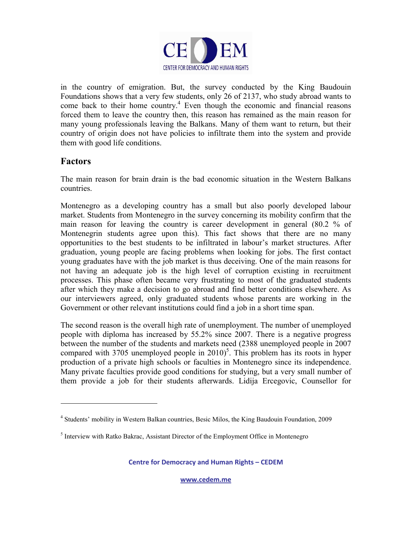

in the country of emigration. But, the survey conducted by the King Baudouin Foundations shows that a very few students, only 26 of 2137, who study abroad wants to come back to their home country.<sup>4</sup> Even though the economic and financial reasons forced them to leave the country then, this reason has remained as the main reason for many young professionals leaving the Balkans. Many of them want to return, but their country of origin does not have policies to infiltrate them into the system and provide them with good life conditions.

### **Factors**

 $\overline{a}$ 

The main reason for brain drain is the bad economic situation in the Western Balkans countries.

Montenegro as a developing country has a small but also poorly developed labour market. Students from Montenegro in the survey concerning its mobility confirm that the main reason for leaving the country is career development in general (80.2 % of Montenegrin students agree upon this). This fact shows that there are no many opportunities to the best students to be infiltrated in labour's market structures. After graduation, young people are facing problems when looking for jobs. The first contact young graduates have with the job market is thus deceiving. One of the main reasons for not having an adequate job is the high level of corruption existing in recruitment processes. This phase often became very frustrating to most of the graduated students after which they make a decision to go abroad and find better conditions elsewhere. As our interviewers agreed, only graduated students whose parents are working in the Government or other relevant institutions could find a job in a short time span.

The second reason is the overall high rate of unemployment. The number of unemployed people with diploma has increased by 55.2% since 2007. There is a negative progress between the number of the students and markets need (2388 unemployed people in 2007 compared with 3705 unemployed people in  $2010$ <sup>5</sup>. This problem has its roots in hyper production of a private high schools or faculties in Montenegro since its independence. Many private faculties provide good conditions for studying, but a very small number of them provide a job for their students afterwards. Lidija Ercegovic, Counsellor for

**Centre for Dem[ocracy and Human](http://www.cedem.me/) Rights – CEDEM** 

<sup>&</sup>lt;sup>4</sup> Students' mobility in Western Balkan countries, Besic Milos, the King Baudouin Foundation, 2009

<sup>&</sup>lt;sup>5</sup> Interview with Ratko Bakrac, Assistant Director of the Employment Office in Montenegro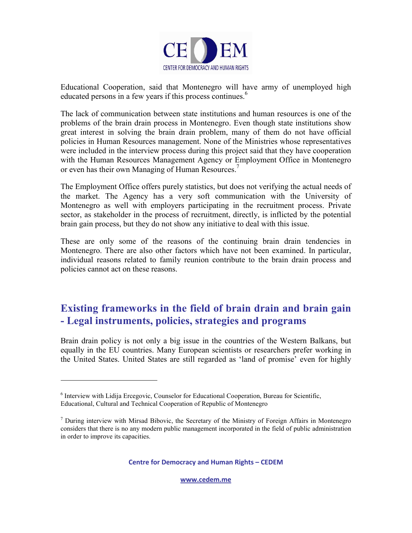

Educational Cooperation, said that Montenegro will have army of unemployed high educated persons in a few years if this process continues.<sup>6</sup>

The lack of communication between state institutions and human resources is one of the problems of the brain drain process in Montenegro. Even though state institutions show great interest in solving the brain drain problem, many of them do not have official policies in Human Resources management. None of the Ministries whose representatives were included in the interview process during this project said that they have cooperation with the Human Resources Management Agency or Employment Office in Montenegro or even has their own Managing of Human Resources.<sup>7</sup>

The Employment Office offers purely statistics, but does not verifying the actual needs of the market. The Agency has a very soft communication with the University of Montenegro as well with employers participating in the recruitment process. Private sector, as stakeholder in the process of recruitment, directly, is inflicted by the potential brain gain process, but they do not show any initiative to deal with this issue.

These are only some of the reasons of the continuing brain drain tendencies in Montenegro. There are also other factors which have not been examined. In particular, individual reasons related to family reunion contribute to the brain drain process and policies cannot act on these reasons.

## **Existing frameworks in the field of brain drain and brain gain - Legal instruments, policies, strategies and programs**

Brain drain policy is not only a big issue in the countries of the Western Balkans, but equally in the EU countries. Many European scientists or researchers prefer working in the United States. United States are still regarded as 'land of promise' even for highly

 $\overline{a}$ 

**Centre for Dem[ocracy and Human](http://www.cedem.me/) Rights – CEDEM** 

<sup>&</sup>lt;sup>6</sup> Interview with Lidija Ercegovic, Counselor for Educational Cooperation, [Bureau for Scientific,](http://www.zamtes.gov.me/en) [Educational, Cultural and Technical Cooperation of Republic of Montenegro](http://www.zamtes.gov.me/en) 

<sup>&</sup>lt;sup>7</sup> During interview with Mirsad Bibovic, the Secretary of the Ministry of Foreign Affairs in Montenegro considers that there is no any modern public management incorporated in the field of public administration in order to improve its capacities.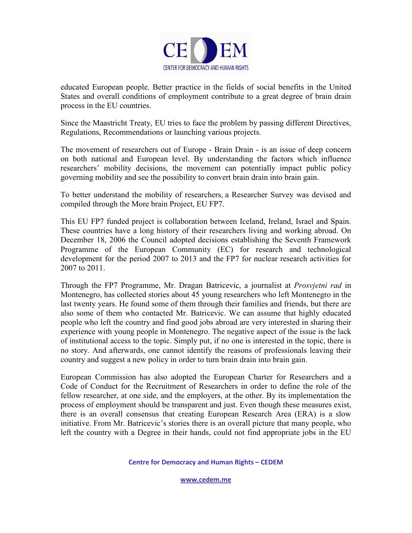

educated European people. Better practice in the fields of social benefits in the United States and overall conditions of employment contribute to a great degree of brain drain process in the EU countries.

Since the Maastricht Treaty, EU tries to face the problem by passing different Directives, Regulations, Recommendations or launching various projects.

The movement of researchers out of Europe - Brain Drain - is an issue of deep concern on both national and European level. By understanding the factors which influence researchers' mobility decisions, the movement can potentially impact public policy governing mobility and see the possibility to convert brain drain into brain gain.

To better understand the mobility of researchers, a Researcher Survey was devised and compiled through the More brain Project, EU FP7.

This EU FP7 funded project is collaboration between Iceland, Ireland, Israel and Spain. These countries have a long history of their researchers living and working abroad. On December 18, 2006 the Council adopted decisions establishing the Seventh Framework Programme of the European Community (EC) for research and technological development for the period 2007 to 2013 and the FP7 for nuclear research activities for 2007 to 2011.

Through the FP7 Programme, Mr. Dragan Batricevic, a journalist at *Prosvjetni rad* in Montenegro, has collected stories about 45 young researchers who left Montenegro in the last twenty years. He found some of them through their families and friends, but there are also some of them who contacted Mr. Batricevic. We can assume that highly educated people who left the country and find good jobs abroad are very interested in sharing their experience with young people in Montenegro. The negative aspect of the issue is the lack of institutional access to the topic. Simply put, if no one is interested in the topic, there is no story. And afterwards, one cannot identify the reasons of professionals leaving their country and suggest a new policy in order to turn brain drain into brain gain.

European Commission has also adopted the European Charter for Researchers and a Code of Conduct for the Recruitment of Researchers in order to define the role of the fellow researcher, at one side, and the employers, at the other. By its implementation the process of employment should be transparent and just. Even though these measures exist, there is an overall consensus that creating European Research Area (ERA) is a slow initiative. From Mr. Batricevic's stories there is an overall picture that many people, who left the country with a Degree in their hands, could not find appropriate jobs in the EU

**Centre for Dem[ocracy and Human](http://www.cedem.me/) Rights – CEDEM**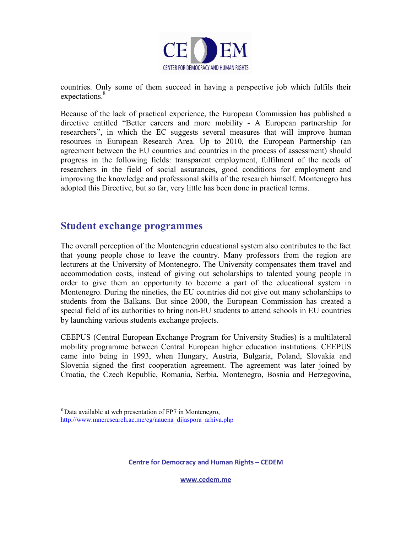

countries. Only some of them succeed in having a perspective job which fulfils their expectations.<sup>8</sup>

Because of the lack of practical experience, the European Commission has published a directive entitled "Better careers and more mobility - A European partnership for researchers", in which the EC suggests several measures that will improve human resources in European Research Area. Up to 2010, the European Partnership (an agreement between the EU countries and countries in the process of assessment) should progress in the following fields: transparent employment, fulfilment of the needs of researchers in the field of social assurances, good conditions for employment and improving the knowledge and professional skills of the research himself. Montenegro has adopted this Directive, but so far, very little has been done in practical terms.

### **Student exchange programmes**

The overall perception of the Montenegrin educational system also contributes to the fact that young people chose to leave the country. Many professors from the region are lecturers at the University of Montenegro. The University compensates them travel and accommodation costs, instead of giving out scholarships to talented young people in order to give them an opportunity to become a part of the educational system in Montenegro. During the nineties, the EU countries did not give out many scholarships to students from the Balkans. But since 2000, the European Commission has created a special field of its authorities to bring non-EU students to attend schools in EU countries by launching various students exchange projects.

CEEPUS (Central European Exchange Program for University Studies) is a multilateral mobility programme between Central European higher education institutions. CEEPUS came into being in 1993, when Hungary, Austria, Bulgaria, Poland, Slovakia and Slovenia signed the first cooperation agreement. The agreement was later joined by Croatia, the Czech Republic, Romania, Serbia, Montenegro, Bosnia and Herzegovina,

l

**Centre for Dem[ocracy and Human](http://www.cedem.me/) Rights – CEDEM** 

<sup>8</sup> Data available at web presentation of FP7 in Montenegro, http://www.mneresearch.ac.me/cg/naucna\_dijaspora\_arhiva.php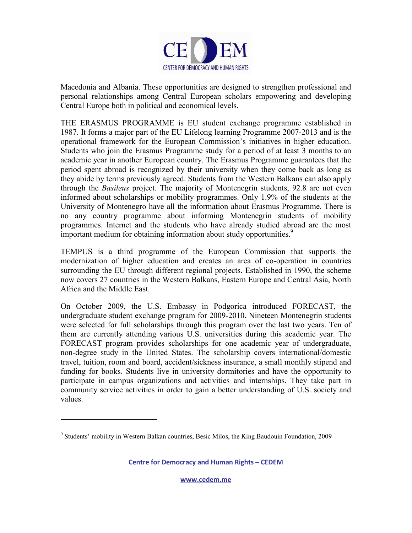

Macedonia and Albania. These opportunities are designed to strengthen professional and personal relationships among Central European scholars empowering and developing Central Europe both in political and economical levels.

THE ERASMUS PROGRAMME is EU student exchange programme established in 1987. It forms a major part of the EU Lifelong learning Programme 2007-2013 and is the operational framework for the European Commission's initiatives in higher education. Students who join the Erasmus Programme study for a period of at least 3 months to an academic year in another European country. The Erasmus Programme guarantees that the period spent abroad is recognized by their university when they come back as long as they abide by terms previously agreed. Students from the Western Balkans can also apply through the *Basileus* project. The majority of Montenegrin students, 92.8 are not even informed about scholarships or mobility programmes. Only 1.9% of the students at the University of Montenegro have all the information about Erasmus Programme. There is no any country programme about informing Montenegrin students of mobility programmes. Internet and the students who have already studied abroad are the most important medium for obtaining information about study opportunities.<sup>9</sup>

TEMPUS is a third programme of the European Commission that supports the modernization of higher education and creates an area of co-operation in countries surrounding the EU through different regional projects. Established in 1990, the scheme now covers 27 countries in the Western Balkans, Eastern Europe and Central Asia, North Africa and the Middle East.

On October 2009, the U.S. Embassy in Podgorica introduced FORECAST, the undergraduate student exchange program for 2009-2010. Nineteen Montenegrin students were selected for full scholarships through this program over the last two years. Ten of them are currently attending various U.S. universities during this academic year. The FORECAST program provides scholarships for one academic year of undergraduate, non-degree study in the United States. The scholarship covers international/domestic travel, tuition, room and board, accident/sickness insurance, a small monthly stipend and funding for books. Students live in university dormitories and have the opportunity to participate in campus organizations and activities and internships. They take part in community service activities in order to gain a better understanding of U.S. society and values.

l

**Centre for Dem[ocracy and Human](http://www.cedem.me/) Rights – CEDEM** 

<sup>&</sup>lt;sup>9</sup> Students' mobility in Western Balkan countries, Besic Milos, the King Baudouin Foundation, 2009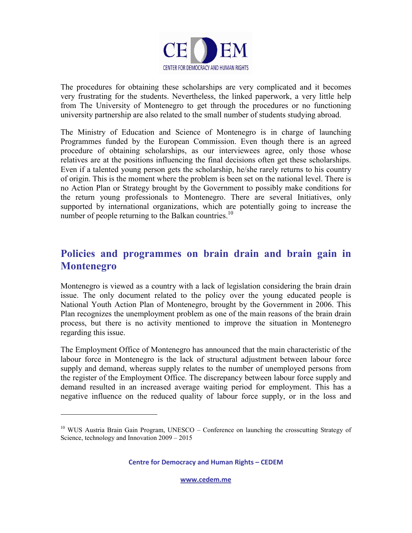

The procedures for obtaining these scholarships are very complicated and it becomes very frustrating for the students. Nevertheless, the linked paperwork, a very little help from The University of Montenegro to get through the procedures or no functioning university partnership are also related to the small number of students studying abroad.

The Ministry of Education and Science of Montenegro is in charge of launching Programmes funded by the European Commission. Even though there is an agreed procedure of obtaining scholarships, as our interviewees agree, only those whose relatives are at the positions influencing the final decisions often get these scholarships. Even if a talented young person gets the scholarship, he/she rarely returns to his country of origin. This is the moment where the problem is been set on the national level. There is no Action Plan or Strategy brought by the Government to possibly make conditions for the return young professionals to Montenegro. There are several Initiatives, only supported by international organizations, which are potentially going to increase the number of people returning to the Balkan countries.<sup>10</sup>

## **Policies and programmes on brain drain and brain gain in Montenegro**

Montenegro is viewed as a country with a lack of legislation considering the brain drain issue. The only document related to the policy over the young educated people is National Youth Action Plan of Montenegro, brought by the Government in 2006. This Plan recognizes the unemployment problem as one of the main reasons of the brain drain process, but there is no activity mentioned to improve the situation in Montenegro regarding this issue.

The Employment Office of Montenegro has announced that the main characteristic of the labour force in Montenegro is the lack of structural adjustment between labour force supply and demand, whereas supply relates to the number of unemployed persons from the register of the Employment Office. The discrepancy between labour force supply and demand resulted in an increased average waiting period for employment. This has a negative influence on the reduced quality of labour force supply, or in the loss and

l

**Centre for Dem[ocracy and Human](http://www.cedem.me/) Rights – CEDEM** 

<sup>&</sup>lt;sup>10</sup> WUS Austria Brain Gain Program, UNESCO – Conference on launching the crosscutting Strategy of Science, technology and Innovation 2009 – 2015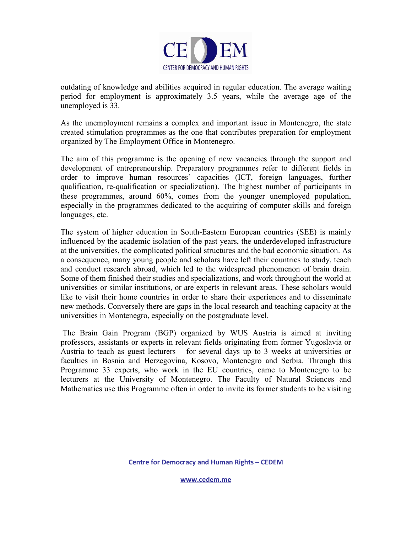

outdating of knowledge and abilities acquired in regular education. The average waiting period for employment is approximately 3.5 years, while the average age of the unemployed is 33.

As the unemployment remains a complex and important issue in Montenegro, the state created stimulation programmes as the one that contributes preparation for employment organized by The Employment Office in Montenegro.

The aim of this programme is the opening of new vacancies through the support and development of entrepreneurship. Preparatory programmes refer to different fields in order to improve human resources' capacities (ICT, foreign languages, further qualification, re-qualification or specialization). The highest number of participants in these programmes, around 60%, comes from the younger unemployed population, especially in the programmes dedicated to the acquiring of computer skills and foreign languages, etc.

The system of higher education in South-Eastern European countries (SEE) is mainly influenced by the academic isolation of the past years, the underdeveloped infrastructure at the universities, the complicated political structures and the bad economic situation. As a consequence, many young people and scholars have left their countries to study, teach and conduct research abroad, which led to the widespread phenomenon of brain drain. Some of them finished their studies and specializations, and work throughout the world at universities or similar institutions, or are experts in relevant areas. These scholars would like to visit their home countries in order to share their experiences and to disseminate new methods. Conversely there are gaps in the local research and teaching capacity at the universities in Montenegro, especially on the postgraduate level.

 The Brain Gain Program (BGP) organized by WUS Austria is aimed at inviting professors, assistants or experts in relevant fields originating from former Yugoslavia or Austria to teach as guest lecturers – for several days up to 3 weeks at universities or faculties in Bosnia and Herzegovina, Kosovo, Montenegro and Serbia. Through this Programme 33 experts, who work in the EU countries, came to Montenegro to be lecturers at the University of Montenegro. The Faculty of Natural Sciences and Mathematics use this Programme often in order to invite its former students to be visiting

**Centre for Dem[ocracy and Human](http://www.cedem.me/) Rights – CEDEM**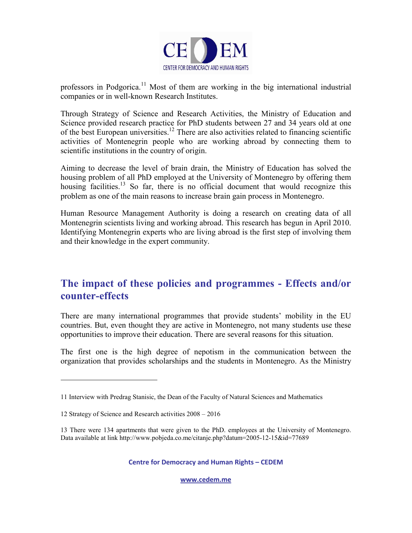

professors in Podgorica.<sup>11</sup> Most of them are working in the big international industrial companies or in well-known Research Institutes.

Through Strategy of Science and Research Activities, the Ministry of Education and Science provided research practice for PhD students between 27 and 34 years old at one of the best European universities.<sup>12</sup> There are also activities related to financing scientific activities of Montenegrin people who are working abroad by connecting them to scientific institutions in the country of origin.

Aiming to decrease the level of brain drain, the Ministry of Education has solved the housing problem of all PhD employed at the University of Montenegro by offering them housing facilities.<sup>13</sup> So far, there is no official document that would recognize this problem as one of the main reasons to increase brain gain process in Montenegro.

Human Resource Management Authority is doing a research on creating data of all Montenegrin scientists living and working abroad. This research has begun in April 2010. Identifying Montenegrin experts who are living abroad is the first step of involving them and their knowledge in the expert community.

## **The impact of these policies and programmes - Effects and/or counter-effects**

There are many international programmes that provide students' mobility in the EU countries. But, even thought they are active in Montenegro, not many students use these opportunities to improve their education. There are several reasons for this situation.

The first one is the high degree of nepotism in the communication between the organization that provides scholarships and the students in Montenegro. As the Ministry

l

**Centre for Dem[ocracy and Human](http://www.cedem.me/) Rights – CEDEM** 

<sup>11</sup> Interview with Predrag Stanisic, the Dean of the Faculty of Natural Sciences and Mathematics

<sup>12</sup> Strategy of Science and Research activities 2008 – 2016

<sup>13</sup> There were 134 apartments that were given to the PhD. employees at the University of Montenegro. Data available at link http://www.pobjeda.co.me/citanje.php?datum=2005-12-15&id=77689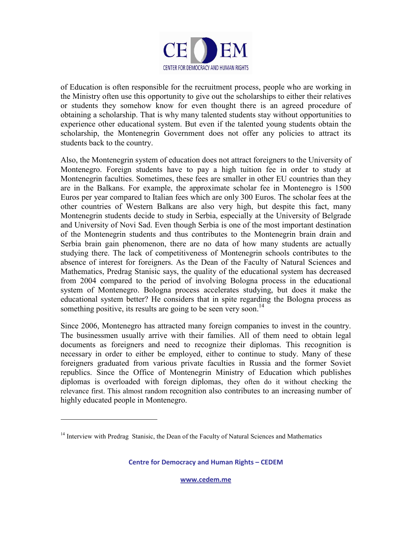

of Education is often responsible for the recruitment process, people who are working in the Ministry often use this opportunity to give out the scholarships to either their relatives or students they somehow know for even thought there is an agreed procedure of obtaining a scholarship. That is why many talented students stay without opportunities to experience other educational system. But even if the talented young students obtain the scholarship, the Montenegrin Government does not offer any policies to attract its students back to the country.

Also, the Montenegrin system of education does not attract foreigners to the University of Montenegro. Foreign students have to pay a high tuition fee in order to study at Montenegrin faculties. Sometimes, these fees are smaller in other EU countries than they are in the Balkans. For example, the approximate scholar fee in Montenegro is 1500 Euros per year compared to Italian fees which are only 300 Euros. The scholar fees at the other countries of Western Balkans are also very high, but despite this fact, many Montenegrin students decide to study in Serbia, especially at the University of Belgrade and University of Novi Sad. Even though Serbia is one of the most important destination of the Montenegrin students and thus contributes to the Montenegrin brain drain and Serbia brain gain phenomenon, there are no data of how many students are actually studying there. The lack of competitiveness of Montenegrin schools contributes to the absence of interest for foreigners. As the Dean of the Faculty of Natural Sciences and Mathematics, Predrag Stanisic says, the quality of the educational system has decreased from 2004 compared to the period of involving Bologna process in the educational system of Montenegro. Bologna process accelerates studying, but does it make the educational system better? He considers that in spite regarding the Bologna process as something positive, its results are going to be seen very soon.<sup>14</sup>

Since 2006, Montenegro has attracted many foreign companies to invest in the country. The businessmen usually arrive with their families. All of them need to obtain legal documents as foreigners and need to recognize their diplomas. This recognition is necessary in order to either be employed, either to continue to study. Many of these foreigners graduated from various private faculties in Russia and the former Soviet republics. Since the Office of Montenegrin Ministry of Education which publishes diplomas is overloaded with foreign diplomas, they often do it without checking the relevance first. This almost random recognition also contributes to an increasing number of highly educated people in Montenegro.

l

**Centre for Dem[ocracy and Human](http://www.cedem.me/) Rights – CEDEM** 

<sup>&</sup>lt;sup>14</sup> Interview with Predrag Stanisic, the Dean of the Faculty of Natural Sciences and Mathematics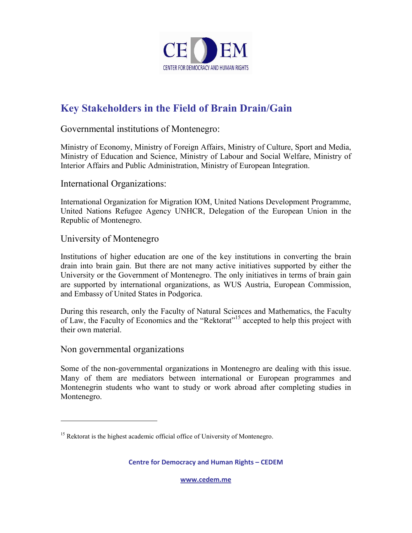

## **Key Stakeholders in the Field of Brain Drain/Gain**

Governmental institutions of Montenegro:

Ministry of Economy, Ministry of Foreign Affairs, Ministry of Culture, Sport and Media, Ministry of Education and Science, Ministry of Labour and Social Welfare, Ministry of Interior Affairs and Public Administration, Ministry of European Integration.

International Organizations:

International Organization for Migration IOM, United Nations Development Programme, United Nations Refugee Agency UNHCR, Delegation of the European Union in the Republic of Montenegro.

### University of Montenegro

Institutions of higher education are one of the key institutions in converting the brain drain into brain gain. But there are not many active initiatives supported by either the University or the Government of Montenegro. The only initiatives in terms of brain gain are supported by international organizations, as WUS Austria, European Commission, and Embassy of United States in Podgorica.

During this research, only the Faculty of Natural Sciences and Mathematics, the Faculty of Law, the Faculty of Economics and the "Rektorat"<sup>15</sup> accepted to help this project with their own material.

### Non governmental organizations

 $\overline{a}$ 

Some of the non-governmental organizations in Montenegro are dealing with this issue. Many of them are mediators between international or European programmes and Montenegrin students who want to study or work abroad after completing studies in Montenegro.

**Centre for Dem[ocracy and Human](http://www.cedem.me/) Rights – CEDEM** 

<sup>&</sup>lt;sup>15</sup> Rektorat is the highest academic official office of University of Montenegro.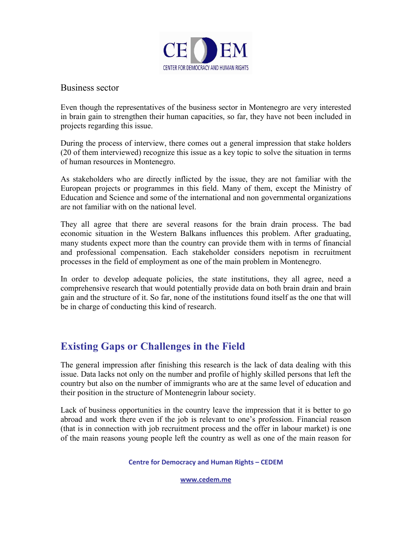

### Business sector

Even though the representatives of the business sector in Montenegro are very interested in brain gain to strengthen their human capacities, so far, they have not been included in projects regarding this issue.

During the process of interview, there comes out a general impression that stake holders (20 of them interviewed) recognize this issue as a key topic to solve the situation in terms of human resources in Montenegro.

As stakeholders who are directly inflicted by the issue, they are not familiar with the European projects or programmes in this field. Many of them, except the Ministry of Education and Science and some of the international and non governmental organizations are not familiar with on the national level.

They all agree that there are several reasons for the brain drain process. The bad economic situation in the Western Balkans influences this problem. After graduating, many students expect more than the country can provide them with in terms of financial and professional compensation. Each stakeholder considers nepotism in recruitment processes in the field of employment as one of the main problem in Montenegro.

In order to develop adequate policies, the state institutions, they all agree, need a comprehensive research that would potentially provide data on both brain drain and brain gain and the structure of it. So far, none of the institutions found itself as the one that will be in charge of conducting this kind of research.

## **Existing Gaps or Challenges in the Field**

The general impression after finishing this research is the lack of data dealing with this issue. Data lacks not only on the number and profile of highly skilled persons that left the country but also on the number of immigrants who are at the same level of education and their position in the structure of Montenegrin labour society.

Lack of business opportunities in the country leave the impression that it is better to go abroad and work there even if the job is relevant to one's profession. Financial reason (that is in connection with job recruitment process and the offer in labour market) is one of the main reasons young people left the country as well as one of the main reason for

#### **Centre for Dem[ocracy and Human](http://www.cedem.me/) Rights – CEDEM**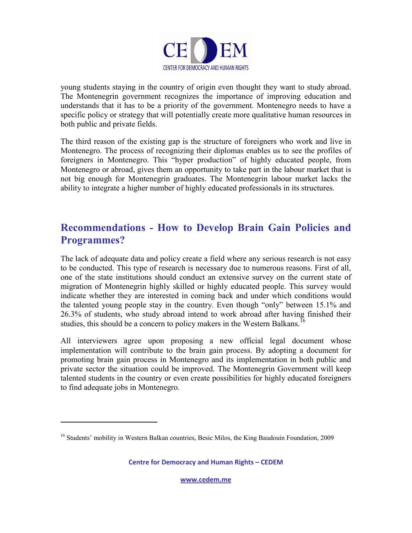

young students staying in the country of origin even thought they want to study abroad. The Montenegrin government recognizes the importance of improving education and understands that it has to be a priority of the government. Montenegro needs to have a specific policy or strategy that will potentially create more qualitative human resources in both public and private fields.

The third reason of the existing gap is the structure of foreigners who work and live in Montenegro. The process of recognizing their diplomas enables us to see the profiles of foreigners in Montenegro. This "hyper production" of highly educated people, from Montenegro or abroad, gives them an opportunity to take part in the labour market that is not big enough for Montenegrin graduates. The Montenegrin labour market lacks the ability to integrate a higher number of highly educated professionals in its structures.

## **Recommendations - How to Develop Brain Gain Policies and Programmes?**

The lack of adequate data and policy create a field where any serious research is not easy to be conducted. This type of research is necessary due to numerous reasons. First of all, one of the state institutions should conduct an extensive survey on the current state of migration of Montenegrin highly skilled or highly educated people. This survey would indicate whether they are interested in coming back and under which conditions would the talented young people stay in the country. Even though "only" between 15.1% and 26.3% of students, who study abroad intend to work abroad after having finished their studies, this should be a concern to policy makers in the Western Balkans.<sup>16</sup>

All interviewers agree upon proposing a new official legal document whose implementation will contribute to the brain gain process. By adopting a document for promoting brain gain process in Montenegro and its implementation in both public and private sector the situation could be improved. The Montenegrin Government will keep talented students in the country or even create possibilities for highly educated foreigners to find adequate jobs in Montenegro.

l

**Centre for Dem[ocracy and Human](http://www.cedem.me/) Rights – CEDEM** 

<sup>&</sup>lt;sup>16</sup> Students' mobility in Western Balkan countries, Besic Milos, the King Baudouin Foundation, 2009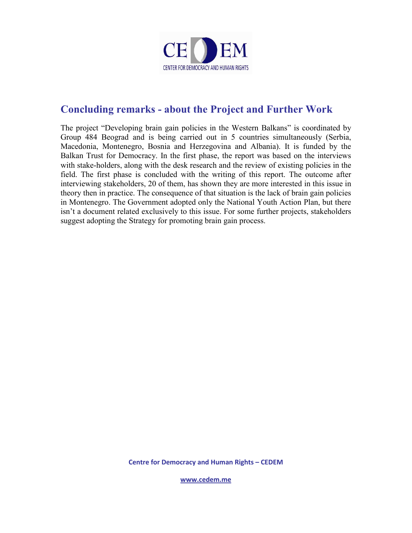

## **Concluding remarks - about the Project and Further Work**

The project "Developing brain gain policies in the Western Balkans" is coordinated by Group 484 Beograd and is being carried out in 5 countries simultaneously (Serbia, Macedonia, Montenegro, Bosnia and Herzegovina and Albania). It is funded by the Balkan Trust for Democracy. In the first phase, the report was based on the interviews with stake-holders, along with the desk research and the review of existing policies in the field. The first phase is concluded with the writing of this report. The outcome after interviewing stakeholders, 20 of them, has shown they are more interested in this issue in theory then in practice. The consequence of that situation is the lack of brain gain policies in Montenegro. The Government adopted only the National Youth Action Plan, but there isn't a document related exclusively to this issue. For some further projects, stakeholders suggest adopting the Strategy for promoting brain gain process.

**Centre for Dem[ocracy and Human](http://www.cedem.me/) Rights – CEDEM**